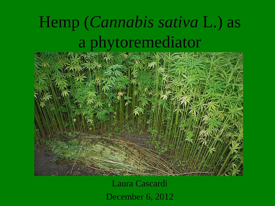### Hemp (*Cannabis sativa* L.) as a phytoremediator



Laura Cascardi December 6, 2012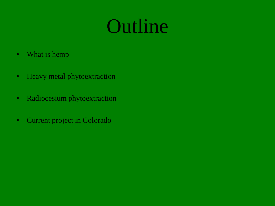## **Outline**

- What is hemp
- Heavy metal phytoextraction
- Radiocesium phytoextraction
- Current project in Colorado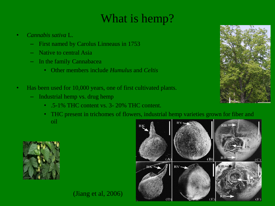#### What is hemp?

- *Cannabis sativa* L.
	- First named by Carolus Linneaus in 1753
	- Native to central Asia
	- In the family Cannabacea
		- Other members include *Humulus* and *Celtis*
- Has been used for 10,000 years, one of first cultivated plants.
	- Industrial hemp vs. drug hemp
		- .5-1% THC content vs. 3- 20% THC content.
		- THC present in trichomes of flowers, industrial hemp varieties grown for fiber and oil



(Jiang et al,  $2006$ )



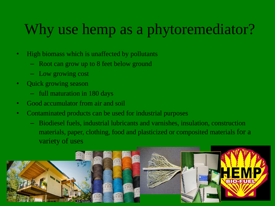#### Why use hemp as a phytoremediator?

- High biomass which is unaffected by pollutants
	- Root can grow up to 8 feet below ground
	- Low growing cost
- Quick growing season
	- full maturation in 180 days
- Good accumulator from air and soil
- Contaminated products can be used for industrial purposes
	- Biodiesel fuels, industrial lubricants and varnishes, insulation, construction materials, paper, clothing, food and plasticized or composited materials for a variety of uses

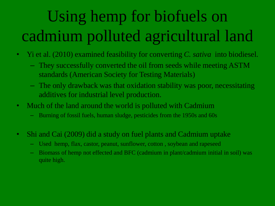### Using hemp for biofuels on cadmium polluted agricultural land

- Yi et al. (2010) examined feasibility for converting *C. sativa* into biodiesel.
	- They successfully converted the oil from seeds while meeting ASTM standards (American Society for Testing Materials)
	- The only drawback was that oxidation stability was poor, necessitating additives for industrial level production.
- Much of the land around the world is polluted with Cadmium
	- Burning of fossil fuels, human sludge, pesticides from the 1950s and 60s
- Shi and Cai (2009) did a study on fuel plants and Cadmium uptake
	- Used hemp, flax, castor, peanut, sunflower, cotton , soybean and rapeseed
	- Biomass of hemp not effected and BFC (cadmium in plant/cadmium initial in soil) was quite high.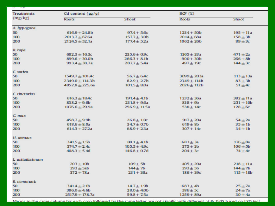| <b>Treatments</b> | Cd content $(\mu g/g)$ |                   | BCF(%)          |               |  |
|-------------------|------------------------|-------------------|-----------------|---------------|--|
| (mg/kg)           | <b>Roots</b>           | Shoot             | <b>Roots</b>    | Shoot         |  |
| A. hypogaea       |                        |                   |                 |               |  |
| 50                | $616.9 \pm 24.8$ b     | $97.4 \pm 5.6c$   | $1234 \pm 50b$  | $195 \pm 11a$ |  |
| 100               | $2013.7 \pm 67.6a$     | $157.7 \pm 3.0b$  | $2014 \pm 68a$  | $158 \pm 3b$  |  |
| 200               | $2124.5 + 52.1a$       | $177.4 \pm 5.2a$  | $1062 \pm 26b$  | $89 + 3c$     |  |
| B. rapa           |                        |                   |                 |               |  |
| 50                | $682.3 \pm 16.3c$      | $235.6 \pm 0.9c$  | $1365 \pm 33a$  | $471 + 2a$    |  |
| 100               | $899.6 + 30.0b$        | $266.3 \pm 8.1b$  | $900 + 30b$     | $266 \pm 8b$  |  |
| 200               | $993.4 \pm 38.7a$      | $287.7 + 5.4a$    | $497 + 19c$     | $144 + 3c$    |  |
| C sativa          |                        |                   |                 |               |  |
| 50                | $1549.7 \pm 101.4c$    | $56.7 \pm 6.4c$   | $3099 \pm 203a$ | $113 \pm 13a$ |  |
| 100               | $2349.0 \pm 114.3b$    | $82.9 \pm 2.7b$   | $2349 \pm 114b$ | $83 \pm 3b$   |  |
| 200               | $4052.8 + 225.6a$      | $101.5 + 8.0a$    | $2026 \pm 112b$ | $51 \pm 4c$   |  |
| C tinctorius      |                        |                   |                 |               |  |
| 50                | $616.3 \pm 18.4c$      | $191.4 \pm 4.1b$  | $1232 \pm 36a$  | $382 \pm 11a$ |  |
| 100               | $838.2 \pm 9.6b$       | $231.8 \pm 9.6$ a | $838 + 9b$      | $231 \pm 10b$ |  |
| 200               | $1076.6 \pm 29.9a$     | $256.9 + 11.5a$   | $538 + 14c$     | $128 \pm 6c$  |  |
| G. max            |                        |                   |                 |               |  |
| 50                | $458.7 \pm 9.9b$       | $26.8 \pm 1.0c$   | $917 + 20a$     | $54 \pm 2a$   |  |
| 100               | $618.6 \pm 8.0a$       | $34.7 \pm 0.7$ b  | $619 \pm 8b$    | $35 \pm 1b$   |  |
| 200               | $614.3 \pm 27.2a$      | $68.9 + 2.3a$     | $307 + 14c$     | $34 \pm 1b$   |  |
| H. annuus         |                        |                   |                 |               |  |
| 50                | $341.5 \pm 1.5b$       | $88.1 \pm 4.1b$   | $683 + 3a$      | $176 \pm 8a$  |  |
| 100               | $374.7 \pm 2.4c$       | $105.5 \pm 4.9c$  | $375 + 3b$      | $106 \pm 5b$  |  |
| 200               | $408.3 \pm 5.4d$       | $146.8 \pm 0.7d$  | $204 \pm 3c$    | $74 \pm 4c$   |  |
| L usitatissimum   |                        |                   |                 |               |  |
| 50                | $203 \pm 10b$          | $109 \pm 5b$      | $405 \pm 20a$   | $218 \pm 11a$ |  |
| 100               | $293 \pm 5ab$          | $144 \pm 7b$      | $293 + 5b$      | $144 \pm 7b$  |  |
| 200               | $372 + 78a$            | $231 + 36a$       | $186 + 39c$     | $115 \pm 18b$ |  |
| R communis        |                        |                   |                 |               |  |
| 50                | $341.4 \pm 2.1b$       | $14.7 \pm 1.9b$   | $683 \pm 4b$    | $25 \pm 7a$   |  |
| 100               | $386.0 \pm 4.6b$       | $28.0 \pm 4.0 b$  | $386 \pm 5c$    | $24 \pm 7a$   |  |
| 200               | $2517.9 + 178.7a$      | $59.8 + 7.5a$     | $1259 + 89a$    | $30 \pm 4a$   |  |

Maans in the same column for each crop followed by the same letter are not significantly different at P<0.05 based on LSD test.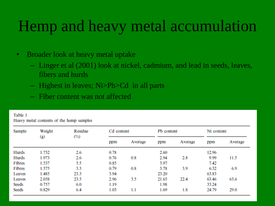### Hemp and heavy metal accumulation

- Broader look at heavy metal uptake
	- Linger et al (2001) look at nickel, cadmium, and lead in seeds, leaves, fibers and hurds
	- Highest in leaves; Ni>Pb>Cd in all parts
	- Fiber content was not affected

| Sample        | Weight<br>$\circ$ | Residue<br>(%) | Cd content |         | Pb content |         | Ni content |         |
|---------------|-------------------|----------------|------------|---------|------------|---------|------------|---------|
|               |                   |                | ppm        | Average | ppm        | Average | ppm        | Average |
| Hurds         | 1.732             | 2.6            | 0.78       |         | 2.60       |         | 12.96      |         |
| Hurds         | 1.973             | 2.6            | 0.76       | 0.8     | 2.94       | 2.8     | 9.99       | 11.5    |
| Fibres        | 1.537             | 3.5            | 0.85       |         | 3.97       |         | 7.42       |         |
| <b>Fibres</b> | 1.575             | 3.3            | 0.79       | 0.8     | 3.78       | 3.9     | 6.32       | 6.9     |
| Leaves        | 1.485             | 23.3           | 3.94       |         | 23.20      |         | 63.83      |         |
| Leaves        | 2.058             | 23.5           | 2.96       | 3.5     | 21.65      | 22.4    | 63.46      | 63.6    |
| Seeds         | 0.757             | 6.0            | 1.19       |         | 1.98       |         | 33.24      |         |
| Seeds         | 0.829             | 6.4            | 1.03       | 1.1     | 1.69       | 1.8     | 24.79      | 29.0    |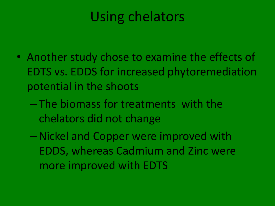#### Using chelators

- Another study chose to examine the effects of EDTS vs. EDDS for increased phytoremediation potential in the shoots
	- The biomass for treatments with the chelators did not change
	- –Nickel and Copper were improved with EDDS, whereas Cadmium and Zinc were more improved with EDTS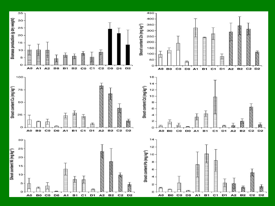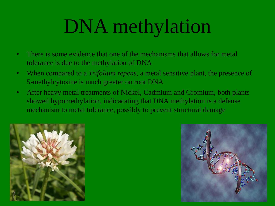# DNA methylation

- There is some evidence that one of the mechanisms that allows for metal tolerance is due to the methylation of DNA
- When compared to a *Trifolium repens,* a metal sensitive plant, the presence of 5-methylcytosine is much greater on root DNA
- After heavy metal treatments of Nickel, Cadmium and Cromium, both plants showed hypomethylation, indicacating that DNA methylation is a defense mechanism to metal tolerance, possibly to prevent structural damage



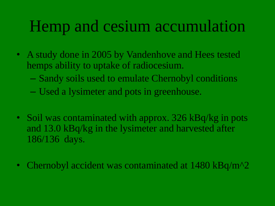### Hemp and cesium accumulation

- A study done in 2005 by Vandenhove and Hees tested hemps ability to uptake of radiocesium.
	- Sandy soils used to emulate Chernobyl conditions
	- Used a lysimeter and pots in greenhouse.
- Soil was contaminated with approx. 326 kBq/kg in pots and 13.0 kBq/kg in the lysimeter and harvested after 186/136 days.
- Chernobyl accident was contaminated at 1480 kBq/m<sup>^2</sup>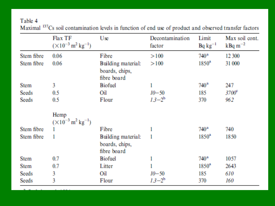Table 4

|             | <b>Flax TF</b><br>$(\times 10^{-3} \text{ m}^2 \text{ kg}^{-1})$ | Use                                                 | Decontamination<br>factor | Limit<br>$Bq kg^{-1}$ | Max soil cont.<br>$kBq m^{-2}$ |
|-------------|------------------------------------------------------------------|-----------------------------------------------------|---------------------------|-----------------------|--------------------------------|
| Stem fibre  | 0.06                                                             | Fibre                                               | >100                      | $740^{\circ}$         | 12 300                         |
| Stem fibre  | 0.06                                                             | Building material:<br>boards, chips,<br>fibre board | >100                      | $1850^{\rm a}$        | 31 000                         |
| <b>Stem</b> | 3                                                                | <b>Biofuel</b>                                      | 1                         | 740 <sup>a</sup>      | 247                            |
| Seeds       | 0.5                                                              | Oil                                                 | $10 - 50$                 | 185                   | 3700 <sup>e</sup>              |
| Seeds       | 0.5                                                              | Flour                                               | $1.3 - 2b$                | 370                   | 962                            |
|             | Hemp<br>$(\times 10^{-3} \text{ m}^2 \text{ kg}^{-1})$           |                                                     |                           |                       |                                |
| Stem fibre  |                                                                  | Fibre                                               |                           | $740^a$               | 740                            |
| Stem fibre  |                                                                  | Building material:<br>boards, chips,<br>fibre board |                           | $1850^{\rm a}$        | 1850                           |
| <b>Stem</b> | 0.7                                                              | <b>Biofuel</b>                                      | 1                         | $740^{\circ}$         | 1057                           |
| <b>Stem</b> | 0.7                                                              | Litter                                              |                           | $1850^{\rm a}$        | 2643                           |
| Seeds       | 3                                                                | Oil                                                 | $10 - 50$                 | 185                   | 610                            |
| Seeds       | 3                                                                | Flour                                               | $1.3 - 2b$                | 370                   | 160                            |

Maximal <sup>137</sup>Cs soil contamination levels in function of end use of product and observed transfer factors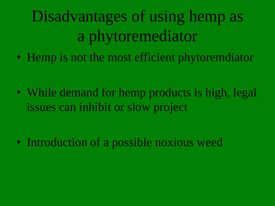### Disadvantages of using hemp as a phytoremediator

• Hemp is not the most efficient phytoremdiator

• While demand for hemp products is high, legal issues can inhibit or slow project

• Introduction of a possible noxious weed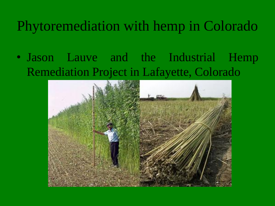#### Phytoremediation with hemp in Colorado

• Jason Lauve and the Industrial Hemp Remediation Project in Lafayette, Colorado

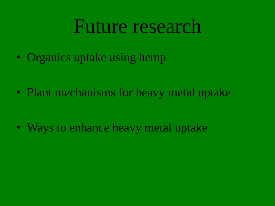## Future research

• Organics uptake using hemp

• Plant mechanisms for heavy metal uptake

• Ways to enhance heavy metal uptake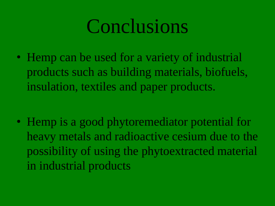# Conclusions

• Hemp can be used for a variety of industrial products such as building materials, biofuels, insulation, textiles and paper products.

• Hemp is a good phytoremediator potential for heavy metals and radioactive cesium due to the possibility of using the phytoextracted material in industrial products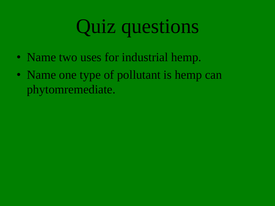# Quiz questions

- Name two uses for industrial hemp.
- Name one type of pollutant is hemp can phytomremediate.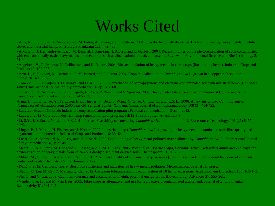#### Works Cited

- Aina, R., S. Sgorbati, A. Santagostino, M. Labra, A. Ghiani, and S. Citterio. 2004. Specific hypomethylation of DNA is induced by heavy metals in white clover and industrial hemp. Physiologia Plantarum 121: 472-480.
- Alkorta, I., J. Hernández-Allica, J. M. Becerril, I. Amezaga, I. Albizu, and C. Garbisu. 2004. Recent findings on the phytoremediation of soils contaminated with environmentally toxic heavy metals and metalloids such as zinc, cadmium, lead, and arsenic. Reviews in Environmental Science and Bio/Technology 3: 71-90.
- Angelova, V., R. Ivanova, V. Delibaltova, and K. Ivanov. 2004. Bio-accumulation of heavy metals in fibre crops (flax, cotton, hemp). Industrial Crops and Products 19: 197-205.
- Arru, L., S. Rognoni, M. Baroncini, P. M. Bonatti, and P. Perata. 2004. Copper localization in *Cannabis sativa* L. grown in a copper-rich solution. Euphytica 140: 33-38.
- Campbell, S., D. Paquin, J. D. Awaya, and Q. X. Li. 2002. Remediation of benzo[a]pyrene and chrysene-contaminated soil with industrial hemp (*Cannabis sativa*). International Journal of Phytoremediation 4(2): 157-168.
- Citterio, S., A. Santagostino, P. Fumagalli, N. Prato, P. Ranalli, and S. Sgorbati. 2003. Heavy metal tolerance and accumulation of Cd, Cr, and Ni by *Cannabis sativa* L. Plant and Soil 256: 243-252..
- •Jiang, H., Li, K., Zhao, Y., Ferguson, D.K., Hueber, F., Bera, S, Wang, Y., Zhao, C., Liu, C., and C.S. Li. 2006. A new insigh into *Cannabis sativa* (Cannabaceae) utilization from 2500 year old Yanghai Tombs, Xinjiang, China. Journal of Ethnopharmacology 108 (3): 414-422.
- Lauve, J. Head of Colorado industrial hemp remediation pilot program . Personal communication: Dec. 4, 2012.
- Lauve, J. 2012. Colorado industrial hemp remediation pilot program. HB12-1099 Proposal: Attachment F.
- Li, S.Y., J.D. Stuart, Y. Li, and R.S. 2010. Parnas. Feasability of converting *Cannabis sativa* L. oil into biofuel. Bioresource Technology. 101 (21) 8457- 8460.
- Linger, P., J. Müssig, H. Fischer, and J. Kobert. 2002. Industrial hemp (*Cannabis sativa* L.) growing on heavy metal contaminated soil: fibre quality and phytoremediation potential. Industrial Crops and Products 16: 33-42.
- Löser, C., A. Zehnsdorf, M. Fussy, and H. J. Stärk. 2002. Conditioning of heavy metal-polluted river sediment by *Cannabis sativa* L. International Journal of Phytoremediation 4(1): 27-45.
- Meers, E., A. Ruttens, M. Hopgood, E. Lesage, and F. M. G. Tack. 2005. Potential of *Brassica rapa*, *Cannabis sativa, Helianthus annus* and *Zea mays* for phytoextraction of heavy metals from calcareous dredged sediment derived soils. Chemosphere 61: 561-572.
- Mihoc, M., G. Pop, E. Alexa, and I. Radulov. 2012. Nutritive quality of romanian hemp varieties (*Cannabis sativa* L.) with special focus on oil and metal contents of seeds. Chemistry Central Journal 6: 122 .
- Rezić, I. 2012. Cellulosic fibers- Biosorptive materials and indicators of heavy metals pollution. Microchemical Journal : In press.
- Shi, G., C. Liu, M. Cai, Y. Ma, and Q. Cai. 2012. Cadmium tolerance and bioaccumulation of 18 hemp accessions. Appl Biochem Biotechnol 168: 163-173.
- Shi, G. and Q. Cai. 2009. Cadmium tolerance and accumulation in eight potential energy crops. Biotechnology Advances 27: 555-561.
- Vandenhove, H., and M. Van Hees. 2005. Fibre crops as alternative land use for radioactively contaminated arable land. Journal of Environmental Radioactivity 81: 131-141.